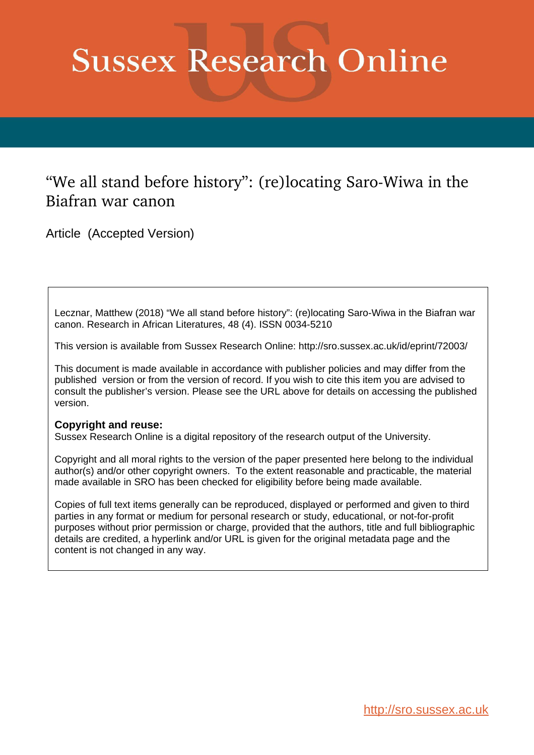# **Sussex Research Online**

# "We all stand before history": (re)locating Saro-Wiwa in the Biafran war canon

Article (Accepted Version)

Lecznar, Matthew (2018) "We all stand before history": (re)locating Saro-Wiwa in the Biafran war canon. Research in African Literatures, 48 (4). ISSN 0034-5210

This version is available from Sussex Research Online: http://sro.sussex.ac.uk/id/eprint/72003/

This document is made available in accordance with publisher policies and may differ from the published version or from the version of record. If you wish to cite this item you are advised to consult the publisher's version. Please see the URL above for details on accessing the published version.

# **Copyright and reuse:**

Sussex Research Online is a digital repository of the research output of the University.

Copyright and all moral rights to the version of the paper presented here belong to the individual author(s) and/or other copyright owners. To the extent reasonable and practicable, the material made available in SRO has been checked for eligibility before being made available.

Copies of full text items generally can be reproduced, displayed or performed and given to third parties in any format or medium for personal research or study, educational, or not-for-profit purposes without prior permission or charge, provided that the authors, title and full bibliographic details are credited, a hyperlink and/or URL is given for the original metadata page and the content is not changed in any way.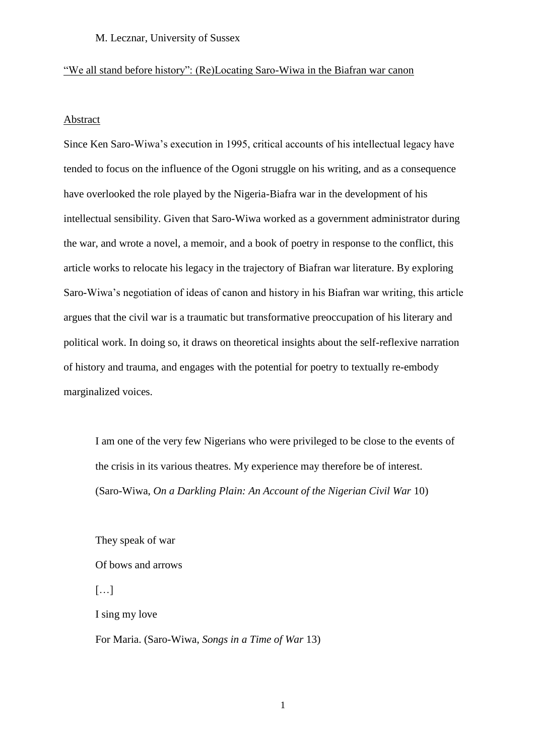# "We all stand before history": (Re)Locating Saro-Wiwa in the Biafran war canon

#### Abstract

Since Ken Saro-Wiwa's execution in 1995, critical accounts of his intellectual legacy have tended to focus on the influence of the Ogoni struggle on his writing, and as a consequence have overlooked the role played by the Nigeria-Biafra war in the development of his intellectual sensibility. Given that Saro-Wiwa worked as a government administrator during the war, and wrote a novel, a memoir, and a book of poetry in response to the conflict, this article works to relocate his legacy in the trajectory of Biafran war literature. By exploring Saro-Wiwa's negotiation of ideas of canon and history in his Biafran war writing, this article argues that the civil war is a traumatic but transformative preoccupation of his literary and political work. In doing so, it draws on theoretical insights about the self-reflexive narration of history and trauma, and engages with the potential for poetry to textually re-embody marginalized voices.

I am one of the very few Nigerians who were privileged to be close to the events of the crisis in its various theatres. My experience may therefore be of interest. (Saro-Wiwa, *On a Darkling Plain: An Account of the Nigerian Civil War* 10)

They speak of war Of bows and arrows […] I sing my love For Maria. (Saro-Wiwa, *Songs in a Time of War* 13)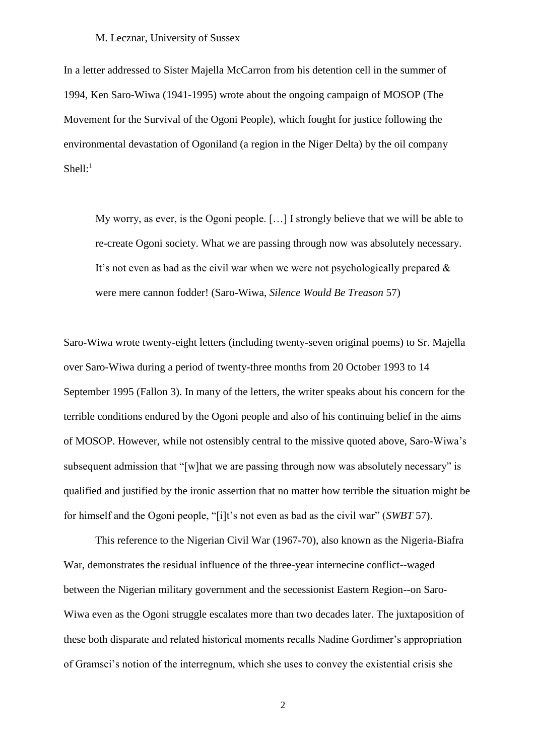In a letter addressed to Sister Majella McCarron from his detention cell in the summer of 1994, Ken Saro-Wiwa (1941-1995) wrote about the ongoing campaign of MOSOP (The Movement for the Survival of the Ogoni People), which fought for justice following the environmental devastation of Ogoniland (a region in the Niger Delta) by the oil company Shell: $<sup>1</sup>$ </sup>

My worry, as ever, is the Ogoni people. […] I strongly believe that we will be able to re-create Ogoni society. What we are passing through now was absolutely necessary. It's not even as bad as the civil war when we were not psychologically prepared & were mere cannon fodder! (Saro-Wiwa, *Silence Would Be Treason* 57)

Saro-Wiwa wrote twenty-eight letters (including twenty-seven original poems) to Sr. Majella over Saro-Wiwa during a period of twenty-three months from 20 October 1993 to 14 September 1995 (Fallon 3). In many of the letters, the writer speaks about his concern for the terrible conditions endured by the Ogoni people and also of his continuing belief in the aims of MOSOP. However, while not ostensibly central to the missive quoted above, Saro-Wiwa's subsequent admission that "[w]hat we are passing through now was absolutely necessary" is qualified and justified by the ironic assertion that no matter how terrible the situation might be for himself and the Ogoni people, "[i]t's not even as bad as the civil war" (*SWBT* 57).

This reference to the Nigerian Civil War (1967-70), also known as the Nigeria-Biafra War, demonstrates the residual influence of the three-year internecine conflict--waged between the Nigerian military government and the secessionist Eastern Region--on Saro-Wiwa even as the Ogoni struggle escalates more than two decades later. The juxtaposition of these both disparate and related historical moments recalls Nadine Gordimer's appropriation of Gramsci's notion of the interregnum, which she uses to convey the existential crisis she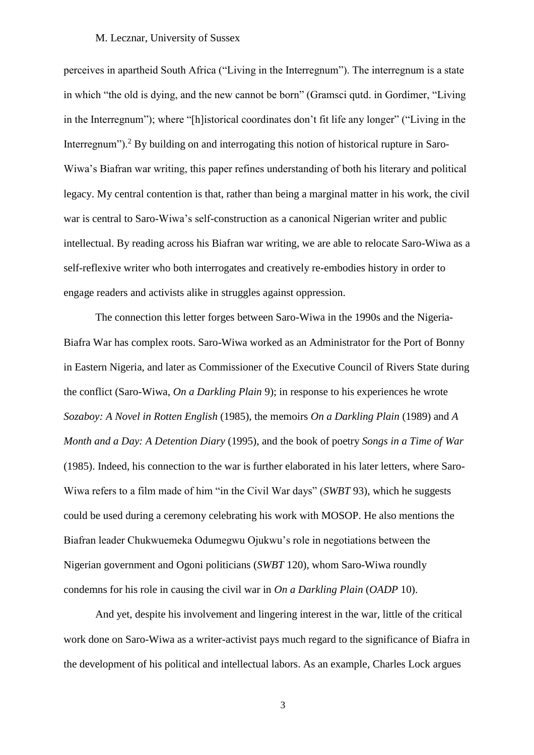perceives in apartheid South Africa ("Living in the Interregnum"). The interregnum is a state in which "the old is dying, and the new cannot be born" (Gramsci qutd. in Gordimer, "Living in the Interregnum"); where "[h]istorical coordinates don't fit life any longer" ("Living in the Interregnum").<sup>2</sup> By building on and interrogating this notion of historical rupture in Saro-Wiwa's Biafran war writing, this paper refines understanding of both his literary and political legacy. My central contention is that, rather than being a marginal matter in his work, the civil war is central to Saro-Wiwa's self-construction as a canonical Nigerian writer and public intellectual. By reading across his Biafran war writing, we are able to relocate Saro-Wiwa as a self-reflexive writer who both interrogates and creatively re-embodies history in order to engage readers and activists alike in struggles against oppression.

The connection this letter forges between Saro-Wiwa in the 1990s and the Nigeria-Biafra War has complex roots. Saro-Wiwa worked as an Administrator for the Port of Bonny in Eastern Nigeria, and later as Commissioner of the Executive Council of Rivers State during the conflict (Saro-Wiwa, *On a Darkling Plain* 9); in response to his experiences he wrote *Sozaboy: A Novel in Rotten English* (1985), the memoirs *On a Darkling Plain* (1989) and *A Month and a Day: A Detention Diary* (1995), and the book of poetry *Songs in a Time of War*  (1985). Indeed, his connection to the war is further elaborated in his later letters, where Saro-Wiwa refers to a film made of him "in the Civil War days" (*SWBT* 93), which he suggests could be used during a ceremony celebrating his work with MOSOP. He also mentions the Biafran leader Chukwuemeka Odumegwu Ojukwu's role in negotiations between the Nigerian government and Ogoni politicians (*SWBT* 120), whom Saro-Wiwa roundly condemns for his role in causing the civil war in *On a Darkling Plain* (*OADP* 10).

And yet, despite his involvement and lingering interest in the war, little of the critical work done on Saro-Wiwa as a writer-activist pays much regard to the significance of Biafra in the development of his political and intellectual labors. As an example, Charles Lock argues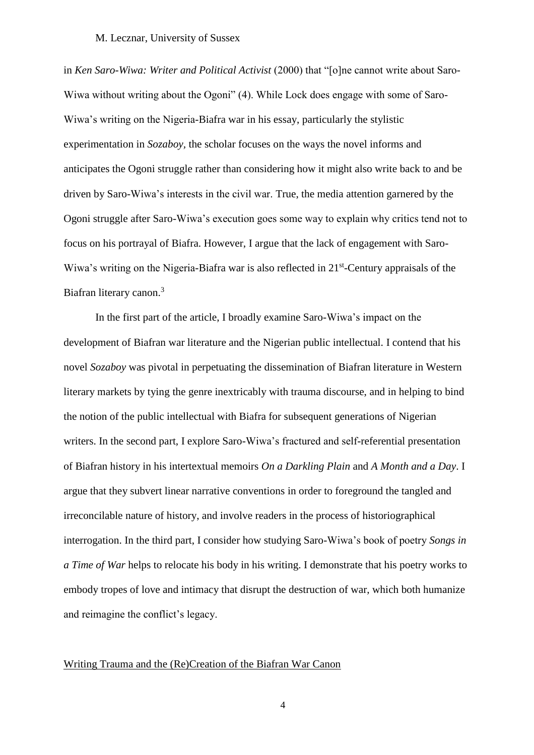in *Ken Saro-Wiwa: Writer and Political Activist* (2000) that "[o]ne cannot write about Saro-Wiwa without writing about the Ogoni" (4). While Lock does engage with some of Saro-Wiwa's writing on the Nigeria-Biafra war in his essay, particularly the stylistic experimentation in *Sozaboy,* the scholar focuses on the ways the novel informs and anticipates the Ogoni struggle rather than considering how it might also write back to and be driven by Saro-Wiwa's interests in the civil war. True, the media attention garnered by the Ogoni struggle after Saro-Wiwa's execution goes some way to explain why critics tend not to focus on his portrayal of Biafra. However, I argue that the lack of engagement with Saro-Wiwa's writing on the Nigeria-Biafra war is also reflected in 21<sup>st</sup>-Century appraisals of the Biafran literary canon.<sup>3</sup>

In the first part of the article, I broadly examine Saro-Wiwa's impact on the development of Biafran war literature and the Nigerian public intellectual. I contend that his novel *Sozaboy* was pivotal in perpetuating the dissemination of Biafran literature in Western literary markets by tying the genre inextricably with trauma discourse, and in helping to bind the notion of the public intellectual with Biafra for subsequent generations of Nigerian writers. In the second part, I explore Saro-Wiwa's fractured and self-referential presentation of Biafran history in his intertextual memoirs *On a Darkling Plain* and *A Month and a Day*. I argue that they subvert linear narrative conventions in order to foreground the tangled and irreconcilable nature of history, and involve readers in the process of historiographical interrogation. In the third part, I consider how studying Saro-Wiwa's book of poetry *Songs in a Time of War* helps to relocate his body in his writing. I demonstrate that his poetry works to embody tropes of love and intimacy that disrupt the destruction of war, which both humanize and reimagine the conflict's legacy.

## Writing Trauma and the (Re)Creation of the Biafran War Canon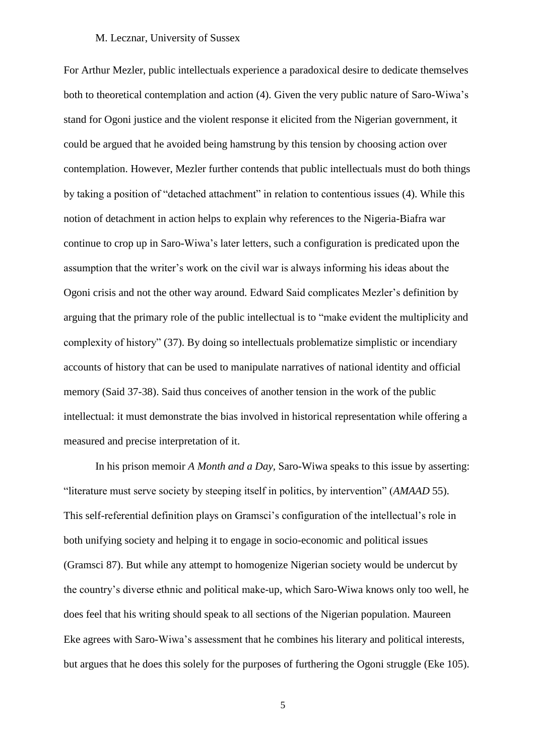For Arthur Mezler, public intellectuals experience a paradoxical desire to dedicate themselves both to theoretical contemplation and action (4). Given the very public nature of Saro-Wiwa's stand for Ogoni justice and the violent response it elicited from the Nigerian government, it could be argued that he avoided being hamstrung by this tension by choosing action over contemplation. However, Mezler further contends that public intellectuals must do both things by taking a position of "detached attachment" in relation to contentious issues (4). While this notion of detachment in action helps to explain why references to the Nigeria-Biafra war continue to crop up in Saro-Wiwa's later letters, such a configuration is predicated upon the assumption that the writer's work on the civil war is always informing his ideas about the Ogoni crisis and not the other way around. Edward Said complicates Mezler's definition by arguing that the primary role of the public intellectual is to "make evident the multiplicity and complexity of history" (37). By doing so intellectuals problematize simplistic or incendiary accounts of history that can be used to manipulate narratives of national identity and official memory (Said 37-38). Said thus conceives of another tension in the work of the public intellectual: it must demonstrate the bias involved in historical representation while offering a measured and precise interpretation of it.

In his prison memoir *A Month and a Day,* Saro-Wiwa speaks to this issue by asserting: "literature must serve society by steeping itself in politics, by intervention" (*AMAAD* 55). This self-referential definition plays on Gramsci's configuration of the intellectual's role in both unifying society and helping it to engage in socio-economic and political issues (Gramsci 87). But while any attempt to homogenize Nigerian society would be undercut by the country's diverse ethnic and political make-up, which Saro-Wiwa knows only too well, he does feel that his writing should speak to all sections of the Nigerian population. Maureen Eke agrees with Saro-Wiwa's assessment that he combines his literary and political interests, but argues that he does this solely for the purposes of furthering the Ogoni struggle (Eke 105).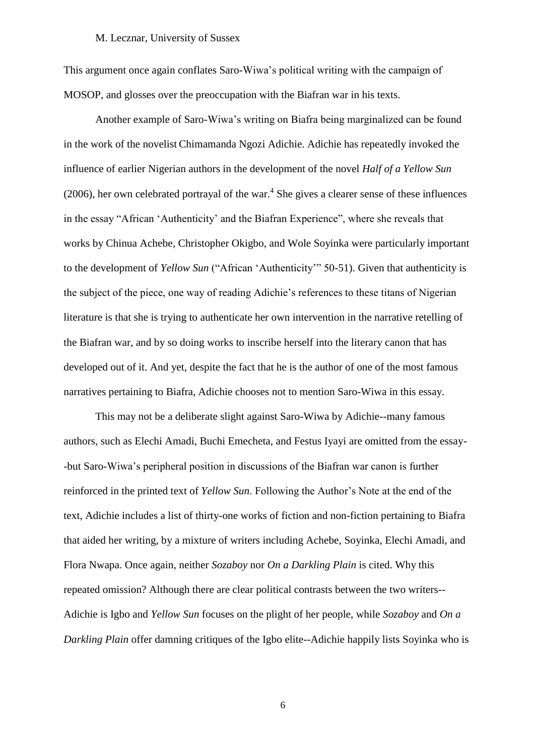This argument once again conflates Saro-Wiwa's political writing with the campaign of MOSOP, and glosses over the preoccupation with the Biafran war in his texts.

Another example of Saro-Wiwa's writing on Biafra being marginalized can be found in the work of the novelist Chimamanda Ngozi Adichie. Adichie has repeatedly invoked the influence of earlier Nigerian authors in the development of the novel *Half of a Yellow Sun*  $(2006)$ , her own celebrated portrayal of the war.<sup>4</sup> She gives a clearer sense of these influences in the essay "African 'Authenticity' and the Biafran Experience", where she reveals that works by Chinua Achebe, Christopher Okigbo, and Wole Soyinka were particularly important to the development of *Yellow Sun* ("African 'Authenticity'" 50-51). Given that authenticity is the subject of the piece, one way of reading Adichie's references to these titans of Nigerian literature is that she is trying to authenticate her own intervention in the narrative retelling of the Biafran war, and by so doing works to inscribe herself into the literary canon that has developed out of it. And yet, despite the fact that he is the author of one of the most famous narratives pertaining to Biafra, Adichie chooses not to mention Saro-Wiwa in this essay.

This may not be a deliberate slight against Saro-Wiwa by Adichie--many famous authors, such as Elechi Amadi, Buchi Emecheta, and Festus Iyayi are omitted from the essay- -but Saro-Wiwa's peripheral position in discussions of the Biafran war canon is further reinforced in the printed text of *Yellow Sun*. Following the Author's Note at the end of the text, Adichie includes a list of thirty-one works of fiction and non-fiction pertaining to Biafra that aided her writing, by a mixture of writers including Achebe, Soyinka, Elechi Amadi, and Flora Nwapa. Once again, neither *Sozaboy* nor *On a Darkling Plain* is cited. Why this repeated omission? Although there are clear political contrasts between the two writers-- Adichie is Igbo and *Yellow Sun* focuses on the plight of her people, while *Sozaboy* and *On a Darkling Plain* offer damning critiques of the Igbo elite--Adichie happily lists Soyinka who is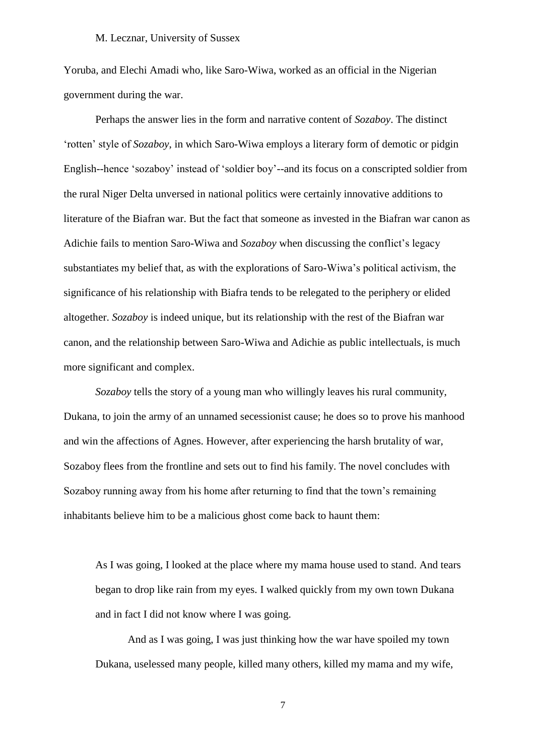Yoruba, and Elechi Amadi who, like Saro-Wiwa, worked as an official in the Nigerian government during the war.

Perhaps the answer lies in the form and narrative content of *Sozaboy*. The distinct 'rotten' style of *Sozaboy*, in which Saro-Wiwa employs a literary form of demotic or pidgin English--hence 'sozaboy' instead of 'soldier boy'--and its focus on a conscripted soldier from the rural Niger Delta unversed in national politics were certainly innovative additions to literature of the Biafran war. But the fact that someone as invested in the Biafran war canon as Adichie fails to mention Saro-Wiwa and *Sozaboy* when discussing the conflict's legacy substantiates my belief that, as with the explorations of Saro-Wiwa's political activism, the significance of his relationship with Biafra tends to be relegated to the periphery or elided altogether. *Sozaboy* is indeed unique, but its relationship with the rest of the Biafran war canon, and the relationship between Saro-Wiwa and Adichie as public intellectuals, is much more significant and complex.

*Sozaboy* tells the story of a young man who willingly leaves his rural community, Dukana, to join the army of an unnamed secessionist cause; he does so to prove his manhood and win the affections of Agnes. However, after experiencing the harsh brutality of war, Sozaboy flees from the frontline and sets out to find his family. The novel concludes with Sozaboy running away from his home after returning to find that the town's remaining inhabitants believe him to be a malicious ghost come back to haunt them:

As I was going, I looked at the place where my mama house used to stand. And tears began to drop like rain from my eyes. I walked quickly from my own town Dukana and in fact I did not know where I was going.

And as I was going, I was just thinking how the war have spoiled my town Dukana, uselessed many people, killed many others, killed my mama and my wife,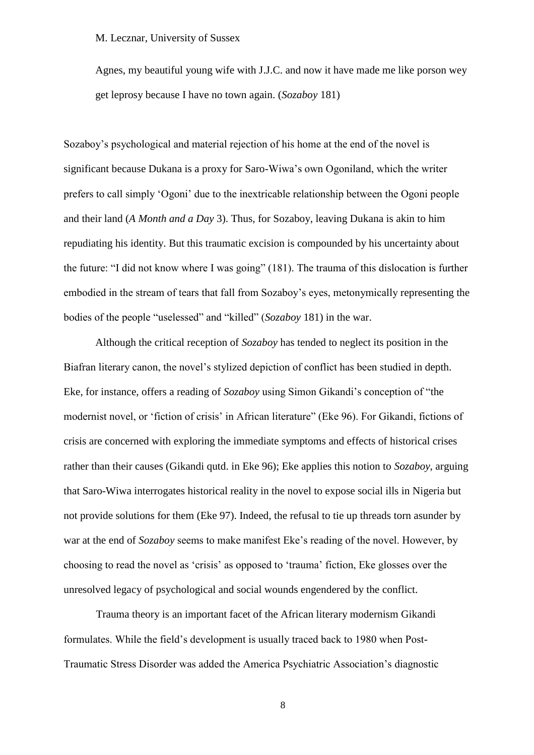Agnes, my beautiful young wife with J.J.C. and now it have made me like porson wey get leprosy because I have no town again. (*Sozaboy* 181)

Sozaboy's psychological and material rejection of his home at the end of the novel is significant because Dukana is a proxy for Saro-Wiwa's own Ogoniland, which the writer prefers to call simply 'Ogoni' due to the inextricable relationship between the Ogoni people and their land (*A Month and a Day* 3). Thus, for Sozaboy, leaving Dukana is akin to him repudiating his identity. But this traumatic excision is compounded by his uncertainty about the future: "I did not know where I was going" (181). The trauma of this dislocation is further embodied in the stream of tears that fall from Sozaboy's eyes, metonymically representing the bodies of the people "uselessed" and "killed" (*Sozaboy* 181) in the war.

Although the critical reception of *Sozaboy* has tended to neglect its position in the Biafran literary canon, the novel's stylized depiction of conflict has been studied in depth. Eke, for instance, offers a reading of *Sozaboy* using Simon Gikandi's conception of "the modernist novel, or 'fiction of crisis' in African literature" (Eke 96). For Gikandi, fictions of crisis are concerned with exploring the immediate symptoms and effects of historical crises rather than their causes (Gikandi qutd. in Eke 96); Eke applies this notion to *Sozaboy*, arguing that Saro-Wiwa interrogates historical reality in the novel to expose social ills in Nigeria but not provide solutions for them (Eke 97). Indeed, the refusal to tie up threads torn asunder by war at the end of *Sozaboy* seems to make manifest Eke's reading of the novel. However, by choosing to read the novel as 'crisis' as opposed to 'trauma' fiction, Eke glosses over the unresolved legacy of psychological and social wounds engendered by the conflict.

Trauma theory is an important facet of the African literary modernism Gikandi formulates. While the field's development is usually traced back to 1980 when Post-Traumatic Stress Disorder was added the America Psychiatric Association's diagnostic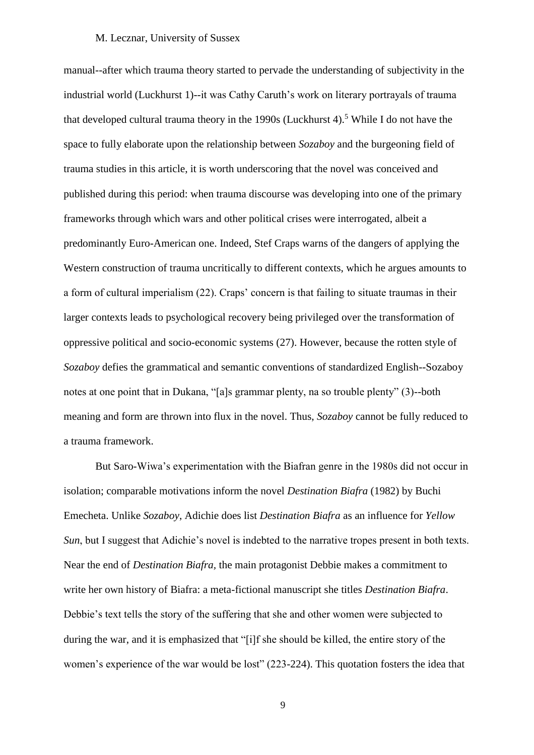manual--after which trauma theory started to pervade the understanding of subjectivity in the industrial world (Luckhurst 1)--it was Cathy Caruth's work on literary portrayals of trauma that developed cultural trauma theory in the 1990s (Luckhurst 4).<sup>5</sup> While I do not have the space to fully elaborate upon the relationship between *Sozaboy* and the burgeoning field of trauma studies in this article, it is worth underscoring that the novel was conceived and published during this period: when trauma discourse was developing into one of the primary frameworks through which wars and other political crises were interrogated, albeit a predominantly Euro-American one. Indeed, Stef Craps warns of the dangers of applying the Western construction of trauma uncritically to different contexts, which he argues amounts to a form of cultural imperialism (22). Craps' concern is that failing to situate traumas in their larger contexts leads to psychological recovery being privileged over the transformation of oppressive political and socio-economic systems (27). However, because the rotten style of *Sozaboy* defies the grammatical and semantic conventions of standardized English--Sozaboy notes at one point that in Dukana, "[a]s grammar plenty, na so trouble plenty" (3)--both meaning and form are thrown into flux in the novel. Thus, *Sozaboy* cannot be fully reduced to a trauma framework.

But Saro-Wiwa's experimentation with the Biafran genre in the 1980s did not occur in isolation; comparable motivations inform the novel *Destination Biafra* (1982) by Buchi Emecheta. Unlike *Sozaboy*, Adichie does list *Destination Biafra* as an influence for *Yellow Sun*, but I suggest that Adichie's novel is indebted to the narrative tropes present in both texts. Near the end of *Destination Biafra,* the main protagonist Debbie makes a commitment to write her own history of Biafra: a meta-fictional manuscript she titles *Destination Biafra*. Debbie's text tells the story of the suffering that she and other women were subjected to during the war, and it is emphasized that "[i]f she should be killed, the entire story of the women's experience of the war would be lost" (223-224). This quotation fosters the idea that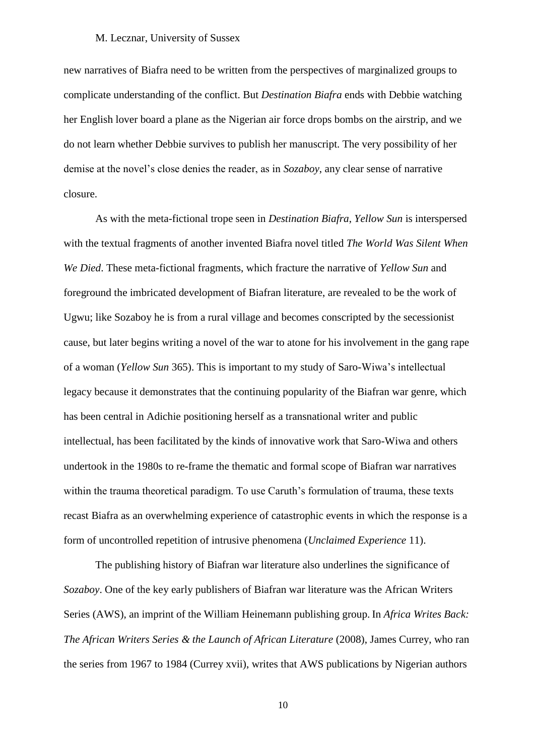new narratives of Biafra need to be written from the perspectives of marginalized groups to complicate understanding of the conflict. But *Destination Biafra* ends with Debbie watching her English lover board a plane as the Nigerian air force drops bombs on the airstrip, and we do not learn whether Debbie survives to publish her manuscript. The very possibility of her demise at the novel's close denies the reader, as in *Sozaboy*, any clear sense of narrative closure.

As with the meta-fictional trope seen in *Destination Biafra*, *Yellow Sun* is interspersed with the textual fragments of another invented Biafra novel titled *The World Was Silent When We Died*. These meta-fictional fragments, which fracture the narrative of *Yellow Sun* and foreground the imbricated development of Biafran literature, are revealed to be the work of Ugwu; like Sozaboy he is from a rural village and becomes conscripted by the secessionist cause, but later begins writing a novel of the war to atone for his involvement in the gang rape of a woman (*Yellow Sun* 365). This is important to my study of Saro-Wiwa's intellectual legacy because it demonstrates that the continuing popularity of the Biafran war genre, which has been central in Adichie positioning herself as a transnational writer and public intellectual, has been facilitated by the kinds of innovative work that Saro-Wiwa and others undertook in the 1980s to re-frame the thematic and formal scope of Biafran war narratives within the trauma theoretical paradigm. To use Caruth's formulation of trauma, these texts recast Biafra as an overwhelming experience of catastrophic events in which the response is a form of uncontrolled repetition of intrusive phenomena (*Unclaimed Experience* 11).

The publishing history of Biafran war literature also underlines the significance of *Sozaboy*. One of the key early publishers of Biafran war literature was the African Writers Series (AWS), an imprint of the William Heinemann publishing group. In *Africa Writes Back: The African Writers Series & the Launch of African Literature* (2008), James Currey, who ran the series from 1967 to 1984 (Currey xvii), writes that AWS publications by Nigerian authors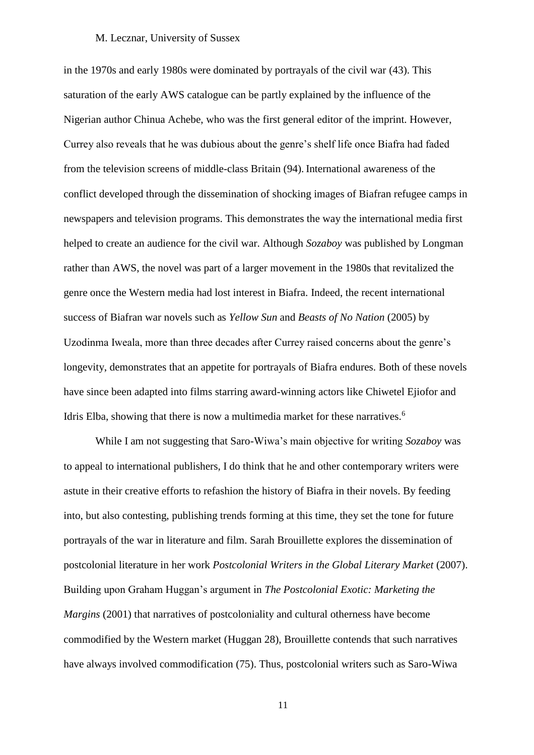in the 1970s and early 1980s were dominated by portrayals of the civil war (43). This saturation of the early AWS catalogue can be partly explained by the influence of the Nigerian author Chinua Achebe, who was the first general editor of the imprint. However, Currey also reveals that he was dubious about the genre's shelf life once Biafra had faded from the television screens of middle-class Britain (94). International awareness of the conflict developed through the dissemination of shocking images of Biafran refugee camps in newspapers and television programs. This demonstrates the way the international media first helped to create an audience for the civil war. Although *Sozaboy* was published by Longman rather than AWS, the novel was part of a larger movement in the 1980s that revitalized the genre once the Western media had lost interest in Biafra. Indeed, the recent international success of Biafran war novels such as *Yellow Sun* and *Beasts of No Nation* (2005) by Uzodinma Iweala, more than three decades after Currey raised concerns about the genre's longevity, demonstrates that an appetite for portrayals of Biafra endures. Both of these novels have since been adapted into films starring award-winning actors like Chiwetel Ejiofor and Idris Elba, showing that there is now a multimedia market for these narratives.<sup>6</sup>

While I am not suggesting that Saro-Wiwa's main objective for writing *Sozaboy* was to appeal to international publishers, I do think that he and other contemporary writers were astute in their creative efforts to refashion the history of Biafra in their novels. By feeding into, but also contesting, publishing trends forming at this time, they set the tone for future portrayals of the war in literature and film. Sarah Brouillette explores the dissemination of postcolonial literature in her work *Postcolonial Writers in the Global Literary Market* (2007). Building upon Graham Huggan's argument in *The Postcolonial Exotic: Marketing the Margins* (2001) that narratives of postcoloniality and cultural otherness have become commodified by the Western market (Huggan 28), Brouillette contends that such narratives have always involved commodification (75). Thus, postcolonial writers such as Saro-Wiwa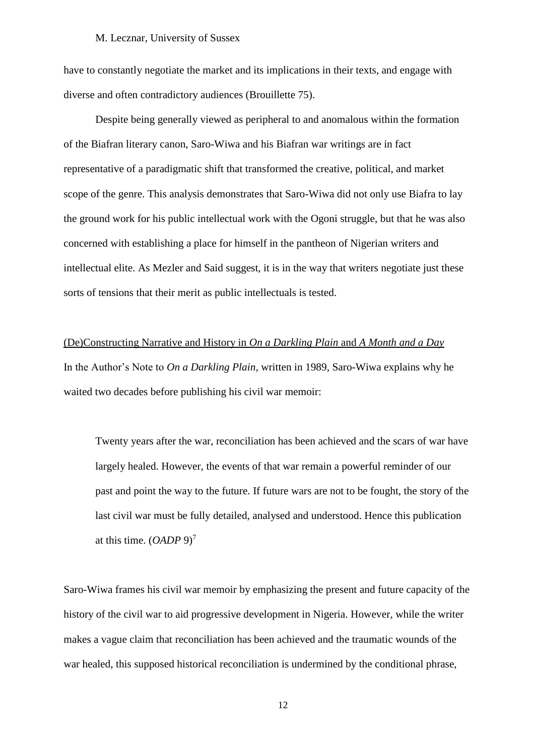have to constantly negotiate the market and its implications in their texts, and engage with diverse and often contradictory audiences (Brouillette 75).

Despite being generally viewed as peripheral to and anomalous within the formation of the Biafran literary canon, Saro-Wiwa and his Biafran war writings are in fact representative of a paradigmatic shift that transformed the creative, political, and market scope of the genre. This analysis demonstrates that Saro-Wiwa did not only use Biafra to lay the ground work for his public intellectual work with the Ogoni struggle, but that he was also concerned with establishing a place for himself in the pantheon of Nigerian writers and intellectual elite. As Mezler and Said suggest, it is in the way that writers negotiate just these sorts of tensions that their merit as public intellectuals is tested.

(De)Constructing Narrative and History in *On a Darkling Plain* and *A Month and a Day* In the Author's Note to *On a Darkling Plain,* written in 1989, Saro-Wiwa explains why he waited two decades before publishing his civil war memoir:

Twenty years after the war, reconciliation has been achieved and the scars of war have largely healed. However, the events of that war remain a powerful reminder of our past and point the way to the future. If future wars are not to be fought, the story of the last civil war must be fully detailed, analysed and understood. Hence this publication at this time. (*OADP* 9)<sup>7</sup>

Saro-Wiwa frames his civil war memoir by emphasizing the present and future capacity of the history of the civil war to aid progressive development in Nigeria. However, while the writer makes a vague claim that reconciliation has been achieved and the traumatic wounds of the war healed, this supposed historical reconciliation is undermined by the conditional phrase,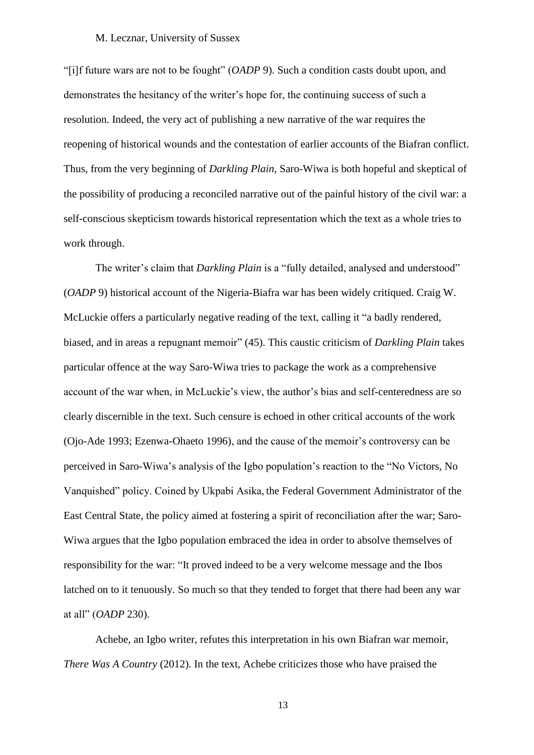"[i]f future wars are not to be fought" (*OADP* 9). Such a condition casts doubt upon, and demonstrates the hesitancy of the writer's hope for, the continuing success of such a resolution. Indeed, the very act of publishing a new narrative of the war requires the reopening of historical wounds and the contestation of earlier accounts of the Biafran conflict. Thus, from the very beginning of *Darkling Plain*, Saro-Wiwa is both hopeful and skeptical of the possibility of producing a reconciled narrative out of the painful history of the civil war: a self-conscious skepticism towards historical representation which the text as a whole tries to work through.

The writer's claim that *Darkling Plain* is a "fully detailed, analysed and understood" (*OADP* 9) historical account of the Nigeria-Biafra war has been widely critiqued. Craig W. McLuckie offers a particularly negative reading of the text, calling it "a badly rendered, biased, and in areas a repugnant memoir" (45). This caustic criticism of *Darkling Plain* takes particular offence at the way Saro-Wiwa tries to package the work as a comprehensive account of the war when, in McLuckie's view, the author's bias and self-centeredness are so clearly discernible in the text. Such censure is echoed in other critical accounts of the work (Ojo-Ade 1993; Ezenwa-Ohaeto 1996), and the cause of the memoir's controversy can be perceived in Saro-Wiwa's analysis of the Igbo population's reaction to the "No Victors, No Vanquished" policy. Coined by Ukpabi Asika, the Federal Government Administrator of the East Central State, the policy aimed at fostering a spirit of reconciliation after the war; Saro-Wiwa argues that the Igbo population embraced the idea in order to absolve themselves of responsibility for the war: "It proved indeed to be a very welcome message and the Ibos latched on to it tenuously. So much so that they tended to forget that there had been any war at all" (*OADP* 230).

Achebe, an Igbo writer, refutes this interpretation in his own Biafran war memoir, *There Was A Country* (2012). In the text, Achebe criticizes those who have praised the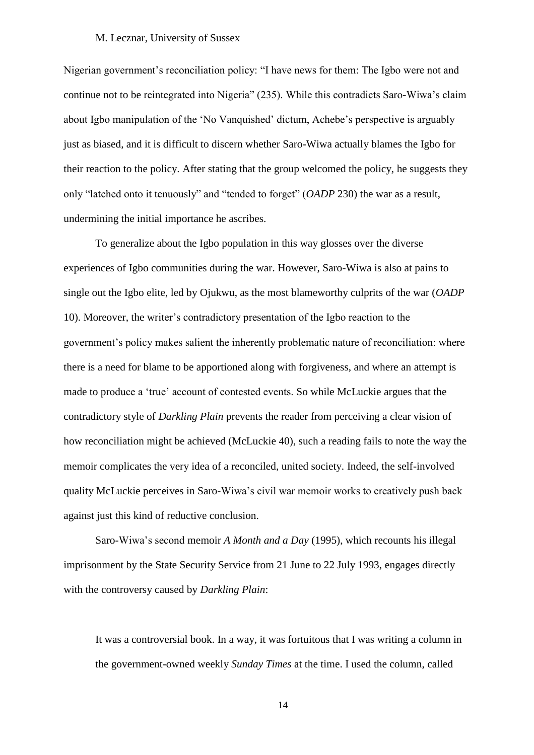Nigerian government's reconciliation policy: "I have news for them: The Igbo were not and continue not to be reintegrated into Nigeria" (235). While this contradicts Saro-Wiwa's claim about Igbo manipulation of the 'No Vanquished' dictum, Achebe's perspective is arguably just as biased, and it is difficult to discern whether Saro-Wiwa actually blames the Igbo for their reaction to the policy. After stating that the group welcomed the policy, he suggests they only "latched onto it tenuously" and "tended to forget" (*OADP* 230) the war as a result, undermining the initial importance he ascribes.

To generalize about the Igbo population in this way glosses over the diverse experiences of Igbo communities during the war. However, Saro-Wiwa is also at pains to single out the Igbo elite, led by Ojukwu, as the most blameworthy culprits of the war (*OADP*  10). Moreover, the writer's contradictory presentation of the Igbo reaction to the government's policy makes salient the inherently problematic nature of reconciliation: where there is a need for blame to be apportioned along with forgiveness, and where an attempt is made to produce a 'true' account of contested events. So while McLuckie argues that the contradictory style of *Darkling Plain* prevents the reader from perceiving a clear vision of how reconciliation might be achieved (McLuckie 40), such a reading fails to note the way the memoir complicates the very idea of a reconciled, united society. Indeed, the self-involved quality McLuckie perceives in Saro-Wiwa's civil war memoir works to creatively push back against just this kind of reductive conclusion.

Saro-Wiwa's second memoir *A Month and a Day* (1995), which recounts his illegal imprisonment by the State Security Service from 21 June to 22 July 1993, engages directly with the controversy caused by *Darkling Plain*:

It was a controversial book. In a way, it was fortuitous that I was writing a column in the government-owned weekly *Sunday Times* at the time. I used the column, called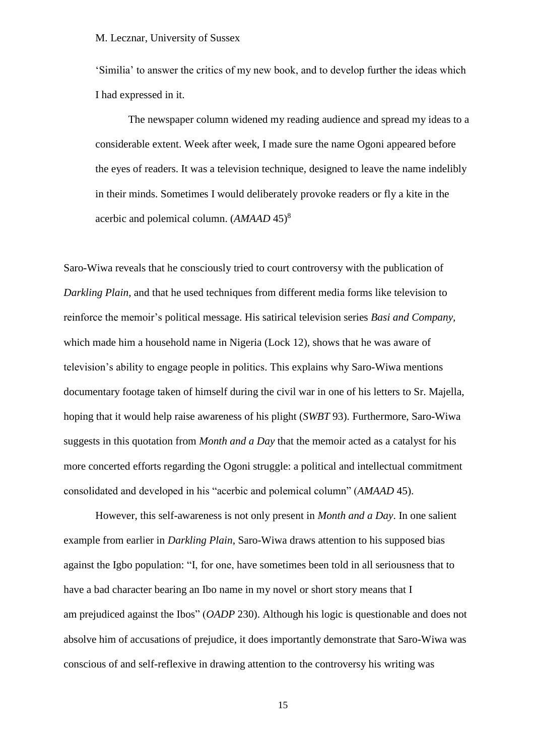'Similia' to answer the critics of my new book, and to develop further the ideas which I had expressed in it.

The newspaper column widened my reading audience and spread my ideas to a considerable extent. Week after week, I made sure the name Ogoni appeared before the eyes of readers. It was a television technique, designed to leave the name indelibly in their minds. Sometimes I would deliberately provoke readers or fly a kite in the acerbic and polemical column. (*AMAAD* 45)<sup>8</sup>

Saro-Wiwa reveals that he consciously tried to court controversy with the publication of *Darkling Plain*, and that he used techniques from different media forms like television to reinforce the memoir's political message. His satirical television series *Basi and Company,* which made him a household name in Nigeria (Lock 12), shows that he was aware of television's ability to engage people in politics. This explains why Saro-Wiwa mentions documentary footage taken of himself during the civil war in one of his letters to Sr. Majella, hoping that it would help raise awareness of his plight (*SWBT* 93). Furthermore, Saro-Wiwa suggests in this quotation from *Month and a Day* that the memoir acted as a catalyst for his more concerted efforts regarding the Ogoni struggle: a political and intellectual commitment consolidated and developed in his "acerbic and polemical column" (*AMAAD* 45).

However, this self-awareness is not only present in *Month and a Day*. In one salient example from earlier in *Darkling Plain*, Saro-Wiwa draws attention to his supposed bias against the Igbo population: "I, for one, have sometimes been told in all seriousness that to have a bad character bearing an Ibo name in my novel or short story means that I am prejudiced against the Ibos" (*OADP* 230). Although his logic is questionable and does not absolve him of accusations of prejudice, it does importantly demonstrate that Saro-Wiwa was conscious of and self-reflexive in drawing attention to the controversy his writing was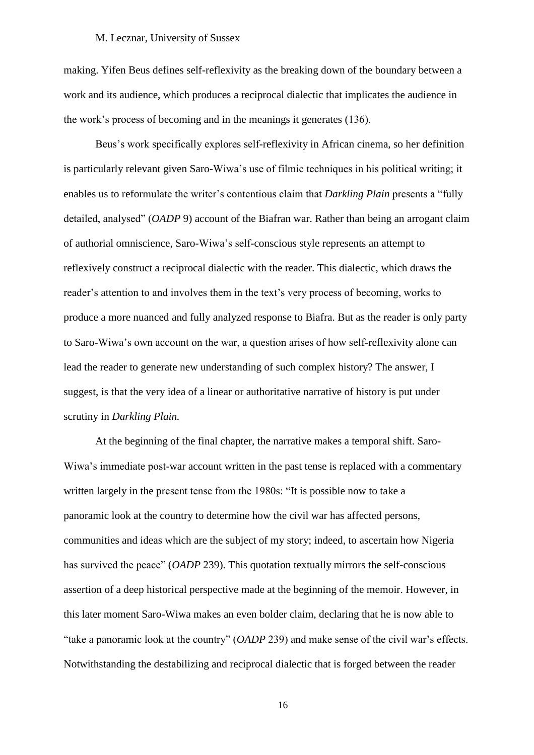making. Yifen Beus defines self-reflexivity as the breaking down of the boundary between a work and its audience, which produces a reciprocal dialectic that implicates the audience in the work's process of becoming and in the meanings it generates (136).

Beus's work specifically explores self-reflexivity in African cinema, so her definition is particularly relevant given Saro-Wiwa's use of filmic techniques in his political writing; it enables us to reformulate the writer's contentious claim that *Darkling Plain* presents a "fully detailed, analysed" (*OADP* 9) account of the Biafran war. Rather than being an arrogant claim of authorial omniscience, Saro-Wiwa's self-conscious style represents an attempt to reflexively construct a reciprocal dialectic with the reader. This dialectic, which draws the reader's attention to and involves them in the text's very process of becoming, works to produce a more nuanced and fully analyzed response to Biafra. But as the reader is only party to Saro-Wiwa's own account on the war, a question arises of how self-reflexivity alone can lead the reader to generate new understanding of such complex history? The answer, I suggest, is that the very idea of a linear or authoritative narrative of history is put under scrutiny in *Darkling Plain.*

At the beginning of the final chapter, the narrative makes a temporal shift. Saro-Wiwa's immediate post-war account written in the past tense is replaced with a commentary written largely in the present tense from the 1980s: "It is possible now to take a panoramic look at the country to determine how the civil war has affected persons, communities and ideas which are the subject of my story; indeed, to ascertain how Nigeria has survived the peace" (*OADP* 239). This quotation textually mirrors the self-conscious assertion of a deep historical perspective made at the beginning of the memoir. However, in this later moment Saro-Wiwa makes an even bolder claim, declaring that he is now able to "take a panoramic look at the country" (*OADP* 239) and make sense of the civil war's effects. Notwithstanding the destabilizing and reciprocal dialectic that is forged between the reader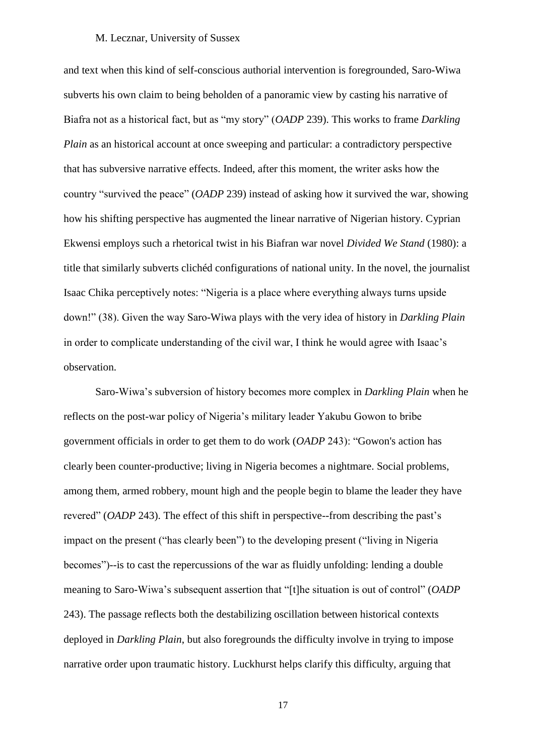and text when this kind of self-conscious authorial intervention is foregrounded, Saro-Wiwa subverts his own claim to being beholden of a panoramic view by casting his narrative of Biafra not as a historical fact, but as "my story" (*OADP* 239). This works to frame *Darkling Plain* as an historical account at once sweeping and particular: a contradictory perspective that has subversive narrative effects. Indeed, after this moment, the writer asks how the country "survived the peace" (*OADP* 239) instead of asking how it survived the war, showing how his shifting perspective has augmented the linear narrative of Nigerian history. Cyprian Ekwensi employs such a rhetorical twist in his Biafran war novel *Divided We Stand* (1980): a title that similarly subverts clichéd configurations of national unity. In the novel, the journalist Isaac Chika perceptively notes: "Nigeria is a place where everything always turns upside down!" (38). Given the way Saro-Wiwa plays with the very idea of history in *Darkling Plain* in order to complicate understanding of the civil war, I think he would agree with Isaac's observation.

Saro-Wiwa's subversion of history becomes more complex in *Darkling Plain* when he reflects on the post-war policy of Nigeria's military leader Yakubu Gowon to bribe government officials in order to get them to do work (*OADP* 243): "Gowon's action has clearly been counter-productive; living in Nigeria becomes a nightmare. Social problems, among them, armed robbery, mount high and the people begin to blame the leader they have revered" (*OADP* 243). The effect of this shift in perspective--from describing the past's impact on the present ("has clearly been") to the developing present ("living in Nigeria becomes")--is to cast the repercussions of the war as fluidly unfolding: lending a double meaning to Saro-Wiwa's subsequent assertion that "[t]he situation is out of control" (*OADP*  243). The passage reflects both the destabilizing oscillation between historical contexts deployed in *Darkling Plain*, but also foregrounds the difficulty involve in trying to impose narrative order upon traumatic history. Luckhurst helps clarify this difficulty, arguing that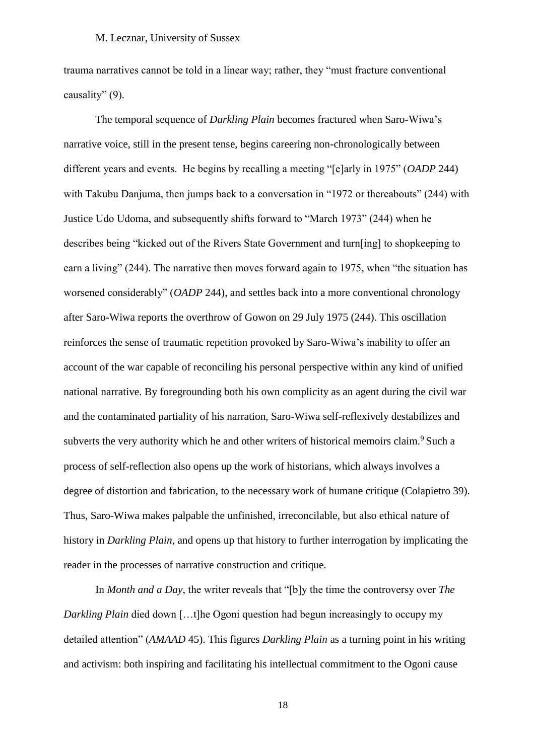trauma narratives cannot be told in a linear way; rather, they "must fracture conventional causality" (9).

The temporal sequence of *Darkling Plain* becomes fractured when Saro-Wiwa's narrative voice, still in the present tense, begins careering non-chronologically between different years and events. He begins by recalling a meeting "[e]arly in 1975" (*OADP* 244) with Takubu Danjuma, then jumps back to a conversation in "1972 or thereabouts" (244) with Justice Udo Udoma, and subsequently shifts forward to "March 1973" (244) when he describes being "kicked out of the Rivers State Government and turn[ing] to shopkeeping to earn a living" (244). The narrative then moves forward again to 1975, when "the situation has worsened considerably" (*OADP* 244), and settles back into a more conventional chronology after Saro-Wiwa reports the overthrow of Gowon on 29 July 1975 (244). This oscillation reinforces the sense of traumatic repetition provoked by Saro-Wiwa's inability to offer an account of the war capable of reconciling his personal perspective within any kind of unified national narrative. By foregrounding both his own complicity as an agent during the civil war and the contaminated partiality of his narration, Saro-Wiwa self-reflexively destabilizes and subverts the very authority which he and other writers of historical memoirs claim.<sup>9</sup> Such a process of self-reflection also opens up the work of historians, which always involves a degree of distortion and fabrication, to the necessary work of humane critique (Colapietro 39). Thus, Saro-Wiwa makes palpable the unfinished, irreconcilable, but also ethical nature of history in *Darkling Plain*, and opens up that history to further interrogation by implicating the reader in the processes of narrative construction and critique.

In *Month and a Day*, the writer reveals that "[b]y the time the controversy over *The Darkling Plain* died down [...t]he Ogoni question had begun increasingly to occupy my detailed attention" (*AMAAD* 45). This figures *Darkling Plain* as a turning point in his writing and activism: both inspiring and facilitating his intellectual commitment to the Ogoni cause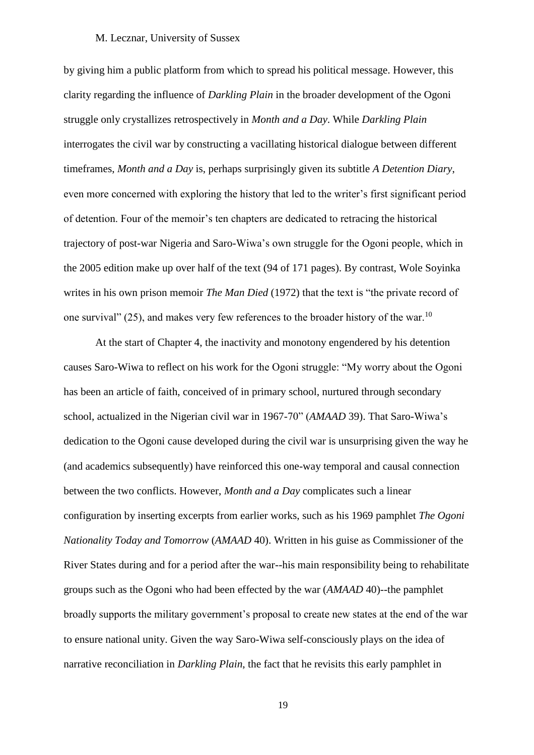by giving him a public platform from which to spread his political message. However, this clarity regarding the influence of *Darkling Plain* in the broader development of the Ogoni struggle only crystallizes retrospectively in *Month and a Day*. While *Darkling Plain* interrogates the civil war by constructing a vacillating historical dialogue between different timeframes, *Month and a Day* is, perhaps surprisingly given its subtitle *A Detention Diary*, even more concerned with exploring the history that led to the writer's first significant period of detention. Four of the memoir's ten chapters are dedicated to retracing the historical trajectory of post-war Nigeria and Saro-Wiwa's own struggle for the Ogoni people, which in the 2005 edition make up over half of the text (94 of 171 pages). By contrast, Wole Soyinka writes in his own prison memoir *The Man Died* (1972) that the text is "the private record of one survival" (25), and makes very few references to the broader history of the war.<sup>10</sup>

At the start of Chapter 4, the inactivity and monotony engendered by his detention causes Saro-Wiwa to reflect on his work for the Ogoni struggle: "My worry about the Ogoni has been an article of faith, conceived of in primary school, nurtured through secondary school, actualized in the Nigerian civil war in 1967-70" (*AMAAD* 39). That Saro-Wiwa's dedication to the Ogoni cause developed during the civil war is unsurprising given the way he (and academics subsequently) have reinforced this one-way temporal and causal connection between the two conflicts. However, *Month and a Day* complicates such a linear configuration by inserting excerpts from earlier works, such as his 1969 pamphlet *The Ogoni Nationality Today and Tomorrow* (*AMAAD* 40). Written in his guise as Commissioner of the River States during and for a period after the war--his main responsibility being to rehabilitate groups such as the Ogoni who had been effected by the war (*AMAAD* 40)--the pamphlet broadly supports the military government's proposal to create new states at the end of the war to ensure national unity. Given the way Saro-Wiwa self-consciously plays on the idea of narrative reconciliation in *Darkling Plain*, the fact that he revisits this early pamphlet in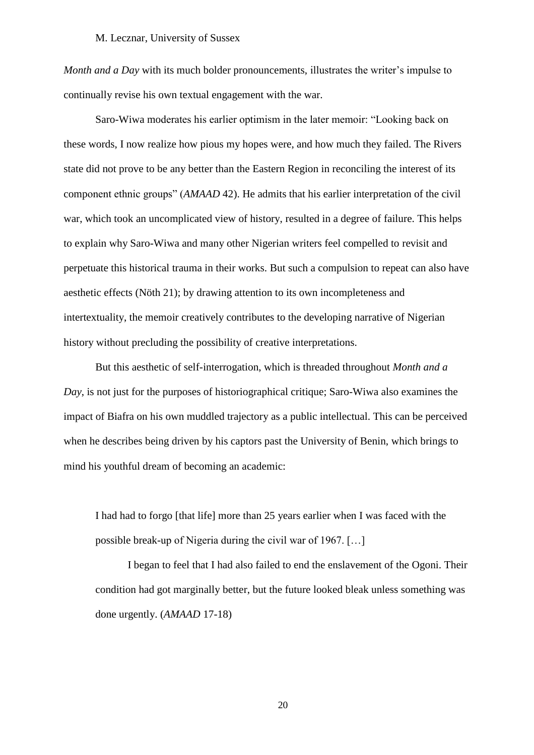*Month and a Day* with its much bolder pronouncements, illustrates the writer's impulse to continually revise his own textual engagement with the war.

Saro-Wiwa moderates his earlier optimism in the later memoir: "Looking back on these words, I now realize how pious my hopes were, and how much they failed. The Rivers state did not prove to be any better than the Eastern Region in reconciling the interest of its component ethnic groups" (*AMAAD* 42). He admits that his earlier interpretation of the civil war, which took an uncomplicated view of history, resulted in a degree of failure. This helps to explain why Saro-Wiwa and many other Nigerian writers feel compelled to revisit and perpetuate this historical trauma in their works. But such a compulsion to repeat can also have aesthetic effects (Nöth 21); by drawing attention to its own incompleteness and intertextuality, the memoir creatively contributes to the developing narrative of Nigerian history without precluding the possibility of creative interpretations.

But this aesthetic of self-interrogation, which is threaded throughout *Month and a Day*, is not just for the purposes of historiographical critique; Saro-Wiwa also examines the impact of Biafra on his own muddled trajectory as a public intellectual. This can be perceived when he describes being driven by his captors past the University of Benin, which brings to mind his youthful dream of becoming an academic:

I had had to forgo [that life] more than 25 years earlier when I was faced with the possible break-up of Nigeria during the civil war of 1967. […]

I began to feel that I had also failed to end the enslavement of the Ogoni. Their condition had got marginally better, but the future looked bleak unless something was done urgently. (*AMAAD* 17-18)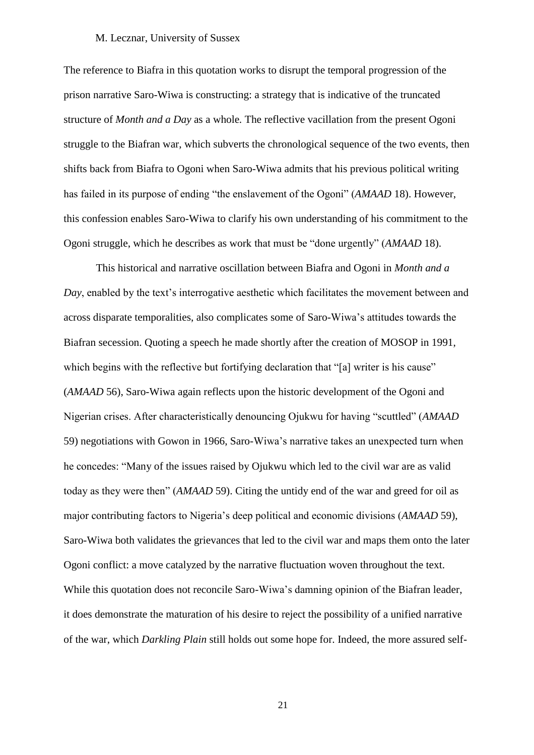The reference to Biafra in this quotation works to disrupt the temporal progression of the prison narrative Saro-Wiwa is constructing: a strategy that is indicative of the truncated structure of *Month and a Day* as a whole*.* The reflective vacillation from the present Ogoni struggle to the Biafran war, which subverts the chronological sequence of the two events, then shifts back from Biafra to Ogoni when Saro-Wiwa admits that his previous political writing has failed in its purpose of ending "the enslavement of the Ogoni" (*AMAAD* 18). However, this confession enables Saro-Wiwa to clarify his own understanding of his commitment to the Ogoni struggle, which he describes as work that must be "done urgently" (*AMAAD* 18).

This historical and narrative oscillation between Biafra and Ogoni in *Month and a Day*, enabled by the text's interrogative aesthetic which facilitates the movement between and across disparate temporalities, also complicates some of Saro-Wiwa's attitudes towards the Biafran secession. Quoting a speech he made shortly after the creation of MOSOP in 1991, which begins with the reflective but fortifying declaration that "[a] writer is his cause" (*AMAAD* 56), Saro-Wiwa again reflects upon the historic development of the Ogoni and Nigerian crises. After characteristically denouncing Ojukwu for having "scuttled" (*AMAAD* 59) negotiations with Gowon in 1966, Saro-Wiwa's narrative takes an unexpected turn when he concedes: "Many of the issues raised by Ojukwu which led to the civil war are as valid today as they were then" (*AMAAD* 59). Citing the untidy end of the war and greed for oil as major contributing factors to Nigeria's deep political and economic divisions (*AMAAD* 59), Saro-Wiwa both validates the grievances that led to the civil war and maps them onto the later Ogoni conflict: a move catalyzed by the narrative fluctuation woven throughout the text. While this quotation does not reconcile Saro-Wiwa's damning opinion of the Biafran leader, it does demonstrate the maturation of his desire to reject the possibility of a unified narrative of the war, which *Darkling Plain* still holds out some hope for. Indeed, the more assured self-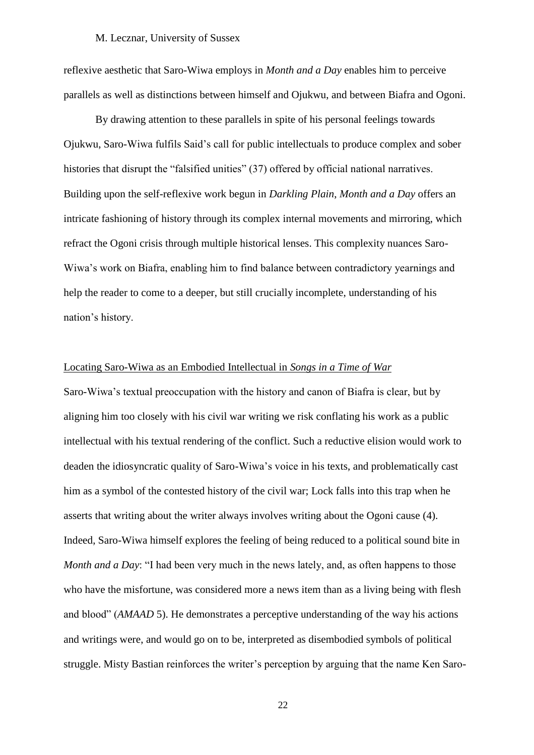reflexive aesthetic that Saro-Wiwa employs in *Month and a Day* enables him to perceive parallels as well as distinctions between himself and Ojukwu, and between Biafra and Ogoni.

By drawing attention to these parallels in spite of his personal feelings towards Ojukwu, Saro-Wiwa fulfils Said's call for public intellectuals to produce complex and sober histories that disrupt the "falsified unities" (37) offered by official national narratives. Building upon the self-reflexive work begun in *Darkling Plain*, *Month and a Day* offers an intricate fashioning of history through its complex internal movements and mirroring, which refract the Ogoni crisis through multiple historical lenses. This complexity nuances Saro-Wiwa's work on Biafra, enabling him to find balance between contradictory yearnings and help the reader to come to a deeper, but still crucially incomplete, understanding of his nation's history.

#### Locating Saro-Wiwa as an Embodied Intellectual in *Songs in a Time of War*

Saro-Wiwa's textual preoccupation with the history and canon of Biafra is clear, but by aligning him too closely with his civil war writing we risk conflating his work as a public intellectual with his textual rendering of the conflict. Such a reductive elision would work to deaden the idiosyncratic quality of Saro-Wiwa's voice in his texts, and problematically cast him as a symbol of the contested history of the civil war; Lock falls into this trap when he asserts that writing about the writer always involves writing about the Ogoni cause (4). Indeed, Saro-Wiwa himself explores the feeling of being reduced to a political sound bite in *Month and a Day*: "I had been very much in the news lately, and, as often happens to those who have the misfortune, was considered more a news item than as a living being with flesh and blood" (*AMAAD* 5). He demonstrates a perceptive understanding of the way his actions and writings were, and would go on to be, interpreted as disembodied symbols of political struggle. Misty Bastian reinforces the writer's perception by arguing that the name Ken Saro-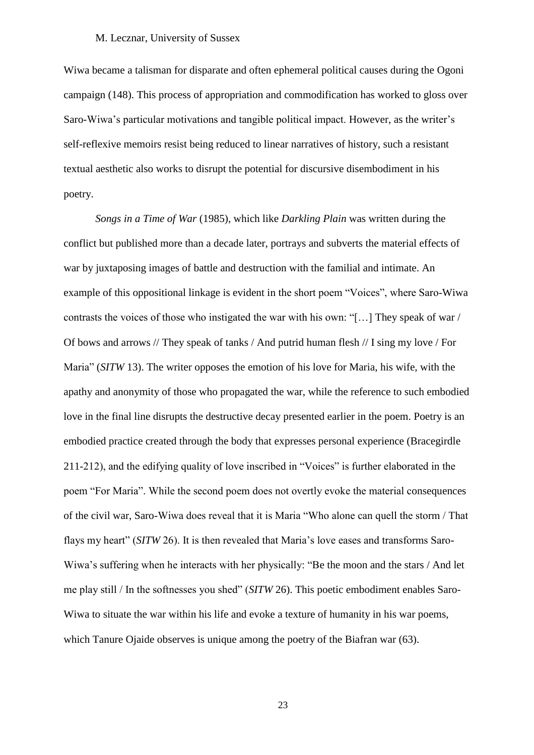Wiwa became a talisman for disparate and often ephemeral political causes during the Ogoni campaign (148). This process of appropriation and commodification has worked to gloss over Saro-Wiwa's particular motivations and tangible political impact. However, as the writer's self-reflexive memoirs resist being reduced to linear narratives of history, such a resistant textual aesthetic also works to disrupt the potential for discursive disembodiment in his poetry.

*Songs in a Time of War* (1985), which like *Darkling Plain* was written during the conflict but published more than a decade later, portrays and subverts the material effects of war by juxtaposing images of battle and destruction with the familial and intimate. An example of this oppositional linkage is evident in the short poem "Voices", where Saro-Wiwa contrasts the voices of those who instigated the war with his own: "[…] They speak of war / Of bows and arrows // They speak of tanks / And putrid human flesh // I sing my love / For Maria" (*SITW* 13). The writer opposes the emotion of his love for Maria, his wife, with the apathy and anonymity of those who propagated the war, while the reference to such embodied love in the final line disrupts the destructive decay presented earlier in the poem. Poetry is an embodied practice created through the body that expresses personal experience (Bracegirdle 211-212), and the edifying quality of love inscribed in "Voices" is further elaborated in the poem "For Maria". While the second poem does not overtly evoke the material consequences of the civil war, Saro-Wiwa does reveal that it is Maria "Who alone can quell the storm / That flays my heart" (*SITW* 26). It is then revealed that Maria's love eases and transforms Saro-Wiwa's suffering when he interacts with her physically: "Be the moon and the stars / And let me play still / In the softnesses you shed" (*SITW* 26). This poetic embodiment enables Saro-Wiwa to situate the war within his life and evoke a texture of humanity in his war poems, which Tanure Ojaide observes is unique among the poetry of the Biafran war (63).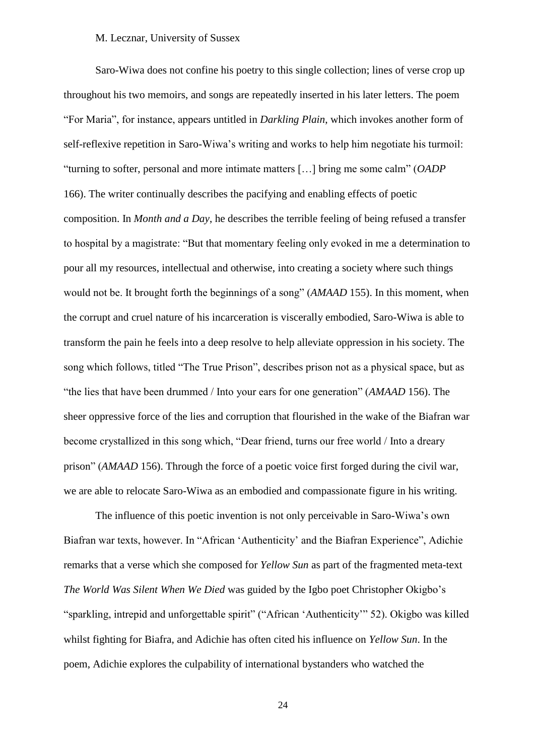Saro-Wiwa does not confine his poetry to this single collection; lines of verse crop up throughout his two memoirs, and songs are repeatedly inserted in his later letters. The poem "For Maria", for instance, appears untitled in *Darkling Plain*, which invokes another form of self-reflexive repetition in Saro-Wiwa's writing and works to help him negotiate his turmoil: "turning to softer, personal and more intimate matters […] bring me some calm" (*OADP*  166). The writer continually describes the pacifying and enabling effects of poetic composition. In *Month and a Day*, he describes the terrible feeling of being refused a transfer to hospital by a magistrate: "But that momentary feeling only evoked in me a determination to pour all my resources, intellectual and otherwise, into creating a society where such things would not be. It brought forth the beginnings of a song" (*AMAAD* 155). In this moment, when the corrupt and cruel nature of his incarceration is viscerally embodied, Saro-Wiwa is able to transform the pain he feels into a deep resolve to help alleviate oppression in his society. The song which follows, titled "The True Prison", describes prison not as a physical space, but as "the lies that have been drummed / Into your ears for one generation" (*AMAAD* 156). The sheer oppressive force of the lies and corruption that flourished in the wake of the Biafran war become crystallized in this song which, "Dear friend, turns our free world / Into a dreary prison" (*AMAAD* 156). Through the force of a poetic voice first forged during the civil war, we are able to relocate Saro-Wiwa as an embodied and compassionate figure in his writing.

The influence of this poetic invention is not only perceivable in Saro-Wiwa's own Biafran war texts, however. In "African 'Authenticity' and the Biafran Experience", Adichie remarks that a verse which she composed for *Yellow Sun* as part of the fragmented meta-text *The World Was Silent When We Died* was guided by the Igbo poet Christopher Okigbo's "sparkling, intrepid and unforgettable spirit" ("African 'Authenticity'" 52). Okigbo was killed whilst fighting for Biafra, and Adichie has often cited his influence on *Yellow Sun*. In the poem, Adichie explores the culpability of international bystanders who watched the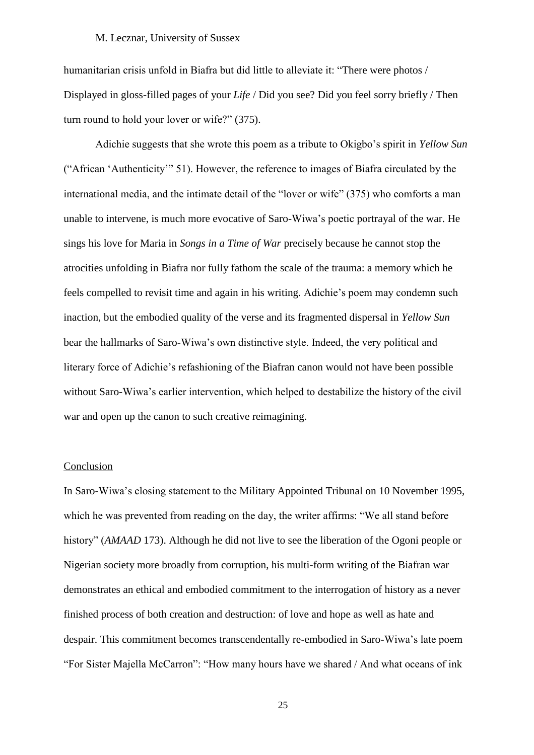humanitarian crisis unfold in Biafra but did little to alleviate it: "There were photos / Displayed in gloss-filled pages of your *Life* / Did you see? Did you feel sorry briefly / Then turn round to hold your lover or wife?" (375).

Adichie suggests that she wrote this poem as a tribute to Okigbo's spirit in *Yellow Sun*  ("African 'Authenticity'" 51). However, the reference to images of Biafra circulated by the international media, and the intimate detail of the "lover or wife" (375) who comforts a man unable to intervene, is much more evocative of Saro-Wiwa's poetic portrayal of the war. He sings his love for Maria in *Songs in a Time of War* precisely because he cannot stop the atrocities unfolding in Biafra nor fully fathom the scale of the trauma: a memory which he feels compelled to revisit time and again in his writing. Adichie's poem may condemn such inaction, but the embodied quality of the verse and its fragmented dispersal in *Yellow Sun* bear the hallmarks of Saro-Wiwa's own distinctive style. Indeed, the very political and literary force of Adichie's refashioning of the Biafran canon would not have been possible without Saro-Wiwa's earlier intervention, which helped to destabilize the history of the civil war and open up the canon to such creative reimagining.

# Conclusion

In Saro-Wiwa's closing statement to the Military Appointed Tribunal on 10 November 1995, which he was prevented from reading on the day, the writer affirms: "We all stand before history" (*AMAAD* 173). Although he did not live to see the liberation of the Ogoni people or Nigerian society more broadly from corruption, his multi-form writing of the Biafran war demonstrates an ethical and embodied commitment to the interrogation of history as a never finished process of both creation and destruction: of love and hope as well as hate and despair. This commitment becomes transcendentally re-embodied in Saro-Wiwa's late poem "For Sister Majella McCarron": "How many hours have we shared / And what oceans of ink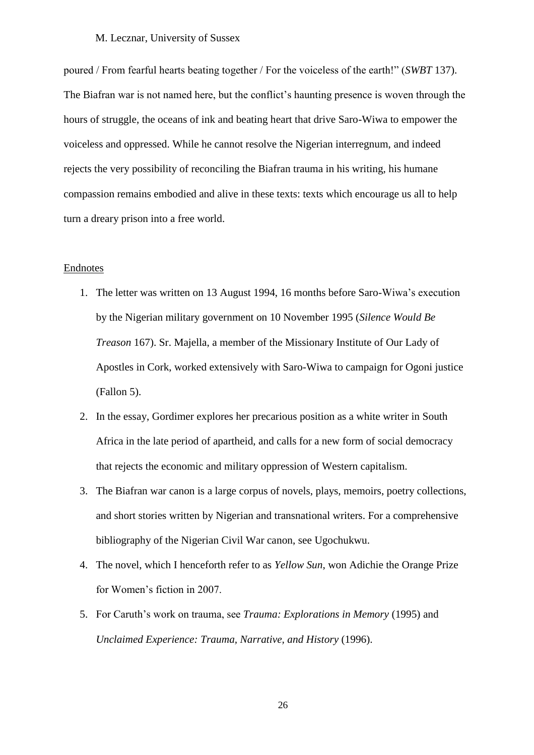poured / From fearful hearts beating together / For the voiceless of the earth!" (*SWBT* 137). The Biafran war is not named here, but the conflict's haunting presence is woven through the hours of struggle, the oceans of ink and beating heart that drive Saro-Wiwa to empower the voiceless and oppressed. While he cannot resolve the Nigerian interregnum, and indeed rejects the very possibility of reconciling the Biafran trauma in his writing, his humane compassion remains embodied and alive in these texts: texts which encourage us all to help turn a dreary prison into a free world.

## **Endnotes**

- 1. The letter was written on 13 August 1994, 16 months before Saro-Wiwa's execution by the Nigerian military government on 10 November 1995 (*Silence Would Be Treason* 167). Sr. Majella, a member of the Missionary Institute of Our Lady of Apostles in Cork, worked extensively with Saro-Wiwa to campaign for Ogoni justice (Fallon 5).
- 2. In the essay, Gordimer explores her precarious position as a white writer in South Africa in the late period of apartheid, and calls for a new form of social democracy that rejects the economic and military oppression of Western capitalism.
- 3. The Biafran war canon is a large corpus of novels, plays, memoirs, poetry collections, and short stories written by Nigerian and transnational writers. For a comprehensive bibliography of the Nigerian Civil War canon, see Ugochukwu.
- 4. The novel, which I henceforth refer to as *Yellow Sun*, won Adichie the Orange Prize for Women's fiction in 2007.
- 5. For Caruth's work on trauma, see *Trauma: Explorations in Memory* (1995) and *Unclaimed Experience: Trauma, Narrative, and History* (1996).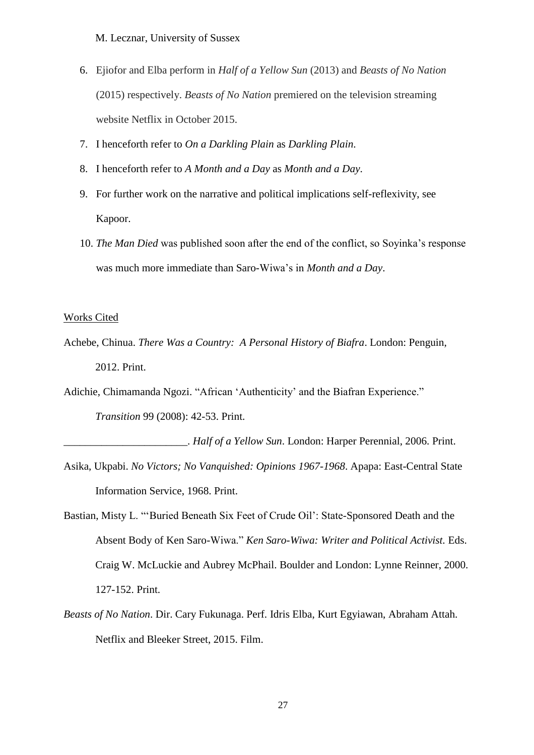- 6. Ejiofor and Elba perform in *Half of a Yellow Sun* (2013) and *Beasts of No Nation*  (2015) respectively. *Beasts of No Nation* premiered on the television streaming website Netflix in October 2015.
- 7. I henceforth refer to *On a Darkling Plain* as *Darkling Plain*.
- 8. I henceforth refer to *A Month and a Day* as *Month and a Day*.
- 9. For further work on the narrative and political implications self-reflexivity, see Kapoor.
- 10. *The Man Died* was published soon after the end of the conflict, so Soyinka's response was much more immediate than Saro-Wiwa's in *Month and a Day*.

#### Works Cited

Achebe, Chinua. *There Was a Country: A Personal History of Biafra*. London: Penguin, 2012. Print.

Adichie, Chimamanda Ngozi. "African 'Authenticity' and the Biafran Experience."

*Transition* 99 (2008): 42-53. Print.

\_\_\_\_\_\_\_\_\_\_\_\_\_\_\_\_\_\_\_\_\_\_\_. *Half of a Yellow Sun*. London: Harper Perennial, 2006. Print.

- Asika, Ukpabi. *No Victors; No Vanquished: Opinions 1967-1968*. Apapa: East-Central State Information Service, 1968. Print.
- Bastian, Misty L. "'Buried Beneath Six Feet of Crude Oil': State-Sponsored Death and the Absent Body of Ken Saro-Wiwa." *Ken Saro-Wiwa: Writer and Political Activist.* Eds. Craig W. McLuckie and Aubrey McPhail. Boulder and London: Lynne Reinner, 2000. 127-152. Print.
- *Beasts of No Nation*. Dir. Cary Fukunaga. Perf. Idris Elba, Kurt Egyiawan, Abraham Attah. Netflix and Bleeker Street, 2015. Film.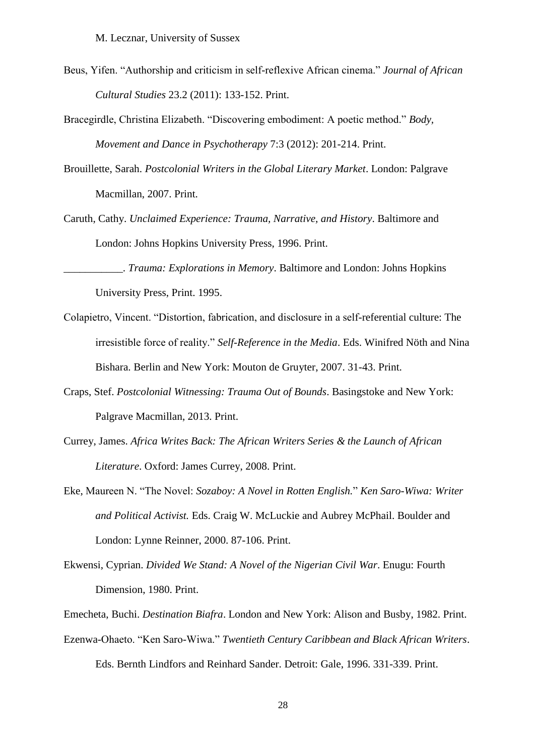- Beus, Yifen. "Authorship and criticism in self-reflexive African cinema." *Journal of African Cultural Studies* 23.2 (2011): 133-152. Print.
- Bracegirdle, Christina Elizabeth. "Discovering embodiment: A poetic method." *Body, Movement and Dance in Psychotherapy* 7:3 (2012): 201-214. Print.
- Brouillette, Sarah. *Postcolonial Writers in the Global Literary Market*. London: Palgrave Macmillan, 2007. Print.
- Caruth, Cathy. *Unclaimed Experience: Trauma, Narrative, and History*. Baltimore and London: Johns Hopkins University Press, 1996. Print.

\_\_\_\_\_\_\_\_\_\_\_. *Trauma: Explorations in Memory*. Baltimore and London: Johns Hopkins University Press, Print. 1995.

- Colapietro, Vincent. "Distortion, fabrication, and disclosure in a self-referential culture: The irresistible force of reality." *Self-Reference in the Media*. Eds. Winifred Nöth and Nina Bishara. Berlin and New York: Mouton de Gruyter, 2007. 31-43. Print.
- Craps, Stef. *Postcolonial Witnessing: Trauma Out of Bounds*. Basingstoke and New York: Palgrave Macmillan, 2013. Print.
- Currey, James. *Africa Writes Back: The African Writers Series & the Launch of African Literature*. Oxford: James Currey, 2008. Print.
- Eke, Maureen N. "The Novel: *Sozaboy: A Novel in Rotten English.*" *Ken Saro-Wiwa: Writer and Political Activist.* Eds. Craig W. McLuckie and Aubrey McPhail. Boulder and London: Lynne Reinner, 2000. 87-106. Print.
- Ekwensi, Cyprian. *Divided We Stand: A Novel of the Nigerian Civil War*. Enugu: Fourth Dimension, 1980. Print.

Emecheta, Buchi. *Destination Biafra*. London and New York: Alison and Busby, 1982. Print.

Ezenwa-Ohaeto. "Ken Saro-Wiwa." *Twentieth Century Caribbean and Black African Writers*. Eds. Bernth Lindfors and Reinhard Sander. Detroit: Gale, 1996. 331-339. Print.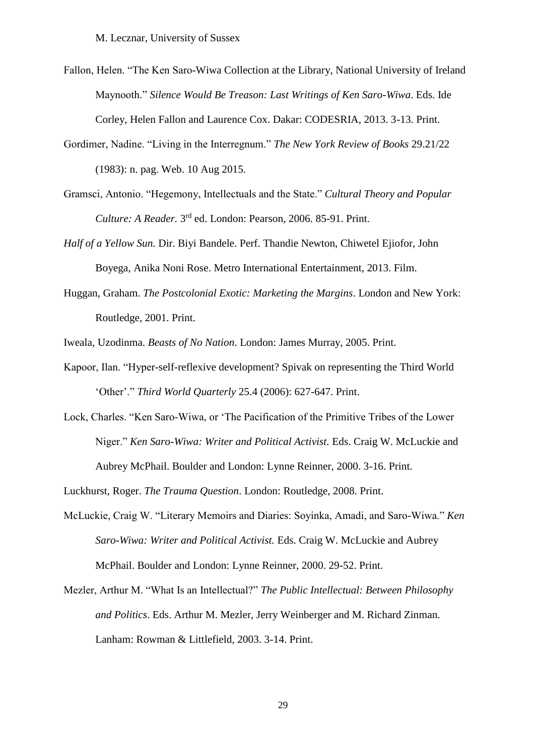- Fallon, Helen. "The Ken Saro-Wiwa Collection at the Library, National University of Ireland Maynooth." *Silence Would Be Treason: Last Writings of Ken Saro-Wiwa*. Eds. Ide Corley, Helen Fallon and Laurence Cox. Dakar: CODESRIA, 2013. 3-13. Print.
- Gordimer, Nadine. "Living in the Interregnum." *The New York Review of Books* 29.21/22 (1983): n. pag. Web. 10 Aug 2015.
- Gramsci, Antonio. "Hegemony, Intellectuals and the State." *Cultural Theory and Popular*  Culture: A Reader. 3<sup>rd</sup> ed. London: Pearson, 2006. 85-91. Print.
- *Half of a Yellow Sun.* Dir. Biyi Bandele. Perf. Thandie Newton, Chiwetel Ejiofor, John Boyega, Anika Noni Rose. Metro International Entertainment, 2013. Film.
- Huggan, Graham. *The Postcolonial Exotic: Marketing the Margins*. London and New York: Routledge, 2001. Print.

Iweala, Uzodinma. *Beasts of No Nation*. London: James Murray, 2005. Print.

- Kapoor, Ilan. "Hyper-self-reflexive development? Spivak on representing the Third World 'Other'." *Third World Quarterly* 25.4 (2006): 627-647. Print.
- Lock, Charles. "Ken Saro-Wiwa, or 'The Pacification of the Primitive Tribes of the Lower Niger." *Ken Saro-Wiwa: Writer and Political Activist.* Eds. Craig W. McLuckie and Aubrey McPhail. Boulder and London: Lynne Reinner, 2000. 3-16. Print.

Luckhurst, Roger. *The Trauma Question*. London: Routledge, 2008. Print.

- McLuckie, Craig W. "Literary Memoirs and Diaries: Soyinka, Amadi, and Saro-Wiwa." *Ken Saro-Wiwa: Writer and Political Activist.* Eds. Craig W. McLuckie and Aubrey McPhail. Boulder and London: Lynne Reinner, 2000. 29-52. Print.
- Mezler, Arthur M. "What Is an Intellectual?" *The Public Intellectual: Between Philosophy and Politics*. Eds. Arthur M. Mezler, Jerry Weinberger and M. Richard Zinman. Lanham: Rowman & Littlefield, 2003. 3-14. Print.